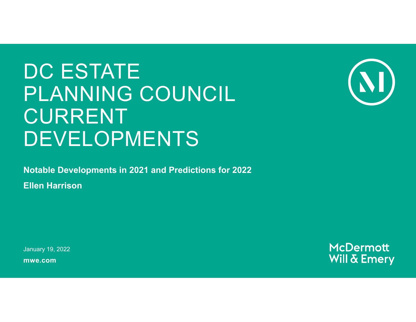# DC ESTATE PLANNING COUNCIL CURRENT DEVELOPMENTS



**Notable Developments in 2021 and Predictions for 2022**

**Ellen Harrison**

**mwe.com**January 19, 2022

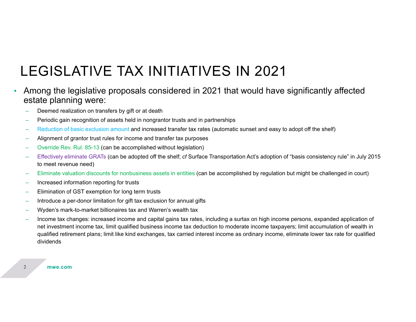### LEGISLATIVE TAX INITIATIVES IN 2021

#### • Among the legislative proposals considered in 2021 that would have significantly affected estate planning were:

- Deemed realization on transfers by gift or at death
- Periodic gain recognition of assets held in nongrantor trusts and in partnerships
- Reduction of basic exclusion amount and increased transfer tax rates (automatic sunset and easy to adopt off the shelf)
- Alignment of grantor trust rules for income and transfer tax purposes
- Override Rev. Rul. 85-13 (can be accomplished without legislation)
- Effectively eliminate GRATs (can be adopted off the shelf; *cf* Surface Transportation Act's adoption of "basis consistency rule" in July 2015 to meet revenue need)
- Eliminate valuation discounts for nonbusiness assets in entities (can be accomplished by regulation but might be challenged in court)
- Increased information reporting for trusts
- Elimination of GST exemption for long term trusts
- Introduce a per-donor limitation for gift tax exclusion for annual gifts
- Wyden's mark-to-market billionaires tax and Warren's wealth tax
- Income tax changes: increased income and capital gains tax rates, including a surtax on high income persons, expanded application of net investment income tax, limit qualified business income tax deduction to moderate income taxpayers; limit accumulation of wealth in qualified retirement plans; limit like kind exchanges, tax carried interest income as ordinary income, eliminate lower tax rate for qualified dividends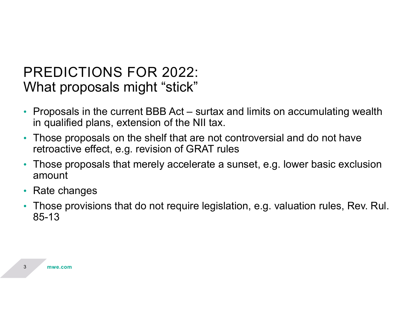#### What proposals might "stick" PREDICTIONS FOR 2022:

- $\bullet$  Proposals in the current BBB Act – surtax and limits on accumulating wealth in qualified plans, extension of the NII tax.
- Those proposals on the shelf that are not controversial and do not have retroactive effect, e.g. revision of GRAT rules
- Those proposals that merely accelerate a sunset, e.g. lower basic exclusion amount
- •Rate changes
- $\bullet$  Those provisions that do not require legislation, e.g. valuation rules, Rev. Rul. 85-13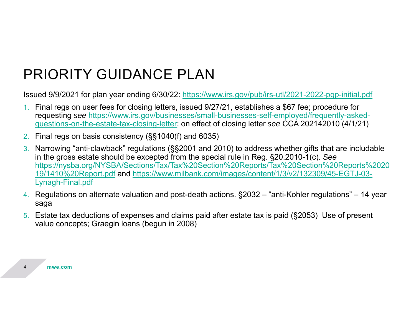# PRIORITY GUIDANCE PLAN

Issued 9/9/2021 for plan year ending 6/30/22: https://www.irs.gov/pub/irs-utl/2021-2022-pgp-initial.pdf

- 1. Final regs on user fees for closing letters, issued 9/27/21, establishes a \$67 fee; procedure for requesting *see* https://www.irs.gov/businesses/small-businesses-self-employed/frequently-askedquestions-on-the-estate-tax-closing-letter; on effect of closing letter *see* CCA 202142010 (4/1/21)
- 2. Final regs on basis consistency (§§1040(f) and 6035)
- 3. Narrowing "anti-clawback" regulations (§§2001 and 2010) to address whether gifts that are includable in the gross estate should be excepted from the special rule in Reg. §20.2010-1(c). *See*  https://nysba.org/NYSBA/Sections/Tax/Tax%20Section%20Reports/Tax%20Section%20Reports%2020 19/1410%20Report.pdf and https://www.milbank.com/images/content/1/3/v2/132309/45-EGTJ-03- Lynagh-Final.pdf
- 4. Regulations on alternate valuation and post-death actions. §2032 "anti-Kohler regulations" 14 year saga
- 5. Estate tax deductions of expenses and claims paid after estate tax is paid (§2053) Use of present value concepts; Graegin loans (begun in 2008)

4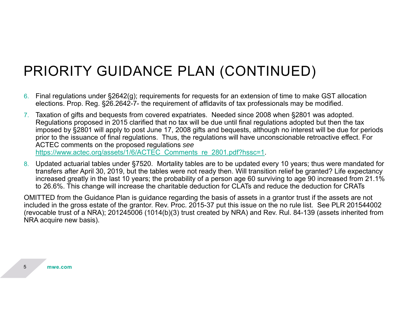#### PRIORITY GUIDANCE PLAN (CONTINUED)

- 6.  $\,$  Final regulations under §2642(g); requirements for requests for an extension of time to make GST allocation elections. Prop. Reg. §26.2642-7- the requirement of affidavits of tax professionals may be modified.
- 7. Taxation of gifts and bequests from covered expatriates. Needed since 2008 when §2801 was adopted. Regulations proposed in 2015 clarified that no tax will be due until final regulations adopted but then the tax imposed by §2801 will apply to post June 17, 2008 gifts and bequests, although no interest will be due for periods prior to the issuance of final regulations. Thus, the regulations will have unconscionable retroactive effect. For ACTEC comments on the proposed regulations *see* https://www.actec.org/assets/1/6/ACTEC\_Comments\_re\_2801.pdf?hssc=1.
- 8. Updated actuarial tables under §7520. Mortality tables are to be updated every 10 years; thus were mandated for transfers after April 30, 2019, but the tables were not ready then. Will transition relief be granted? Life expectancy increased greatly in the last 10 years; the probability of a person age 60 surviving to age 90 increased from 21.1% to 26.6%. This change will increase the charitable deduction for CLATs and reduce the deduction for CRATs

OMITTED from the Guidance Plan is guidance regarding the basis of assets in a grantor trust if the assets are not included in the gross estate of the grantor. Rev. Proc. 2015-37 put this issue on the no rule list. See PLR 201544002 (revocable trust of a NRA); 201245006 (1014(b)(3) trust created by NRA) and Rev. Rul. 84-139 (assets inherited from NRA acquire new basis).

5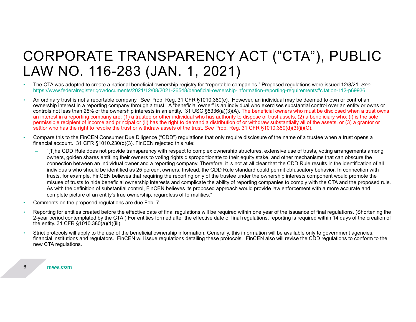#### CORPORATE TRANSPARENCY ACT ("CTA"), PUBLIC LAW NO. 116-283 (JAN. 1, 2021)

- • The CTA was adopted to create a national beneficial ownership registry for "reportable companies." Proposed regulations were issued 12/8/21. *See*  https://www.federalregister.gov/documents/2021/12/08/2021-26548/beneficial-ownership-information-reporting-requirements#citation-112-p69936.
- • An ordinary trust is not a reportable company. *See* Prop. Reg. 31 CFR §1010.380(c). However, an individual may be deemed to own or control an ownership interest in a reporting company through a trust. A "beneficial owner" is an individual who exercises substantial control over an entity or owns or controls not less than 25% of the ownership interests in an entity. 31 USC §5336(a)(3)(A). The beneficial owners who must be disclosed when a trust owns an interest in a reporting company are: (1) a trustee or other individual who has authority to dispose of trust assets, (2) a beneficiary who: (i) is the sole permissible recipient of income and principal or (ii) has the right to demand a distribution of or withdraw substantially all of the assets, or (3) a grantor or settlor who has the right to revoke the trust or withdraw assets of the trust. *See* Prop. Reg. 31 CFR §1010.380(d)(3)(ii)(C).
- • Compare this to the FinCEN Consumer Due Diligence ("CDD") regulations that only require disclosure of the name of a trustee when a trust opens a financial account. 31 CFR §1010.230(d)(3). FinCEN rejected this rule:
	- "[T]he CDD Rule does not provide transparency with respect to complex ownership structures, extensive use of trusts, voting arrangements among owners, golden shares entitling their owners to voting rights disproportionate to their equity stake, and other mechanisms that can obscure the connection between an individual owner and a reporting company. Therefore, it is not at all clear that the CDD Rule results in the identification of all individuals who should be identified as 25 percent owners. Instead, the CDD Rule standard could permit obfuscatory behavior. In connection with trusts, for example, FinCEN believes that requiring the reporting only of the trustee under the ownership interests component would promote the misuse of trusts to hide beneficial ownership interests and complicate the ability of reporting companies to comply with the CTA and the proposed rule. As with the definition of substantial control, FinCEN believes its proposed approach would provide law enforcement with a more accurate and complete picture of an entity's true ownership, regardless of formalities."
- •Comments on the proposed regulations are due Feb. 7.
- Reporting for entities created before the effective date of final regulations will be required within one year of the issuance of final regulations. (Shortening the 2-year period contemplated by the CTA.) For entities formed after the effective date of final regulations, reporting is required within 14 days of the creation of the entity. 31 CFR §1010.380(a)(1)(iii).
- • Strict protocols will apply to the use of the beneficial ownership information. Generally, this information will be available only to government agencies, financial institutions and regulators. FinCEN will issue regulations detailing these protocols. FinCEN also will revise the CDD regulations to conform to the new CTA regulations.

**mwe.com**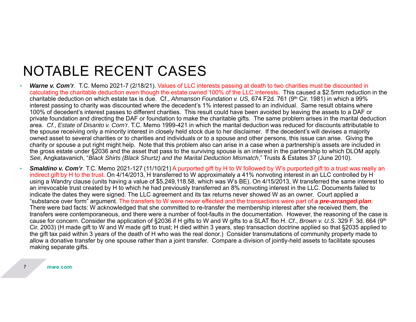#### NOTABLE RECENT CASES

- • *Warne v. Com'r.* T.C. Memo 2021-7 (2/18/21). Values of LLC interests passing at death to two charities must be discounted in calculating the charitable deduction even though the estate owned 100% of the LLC interests. This caused a \$2.5mm reduction in the charitable deduction on which estate tax is due. Cf., *Ahmanson Foundation v. US,* 674 F2d. 761 (9th Cir. 1981) in which a 99% interest passing to charity was discounted where the decedent's 1% interest passed to an individual. Same result obtains where 100% of decedent's interest passes to different charities. This result could have been avoided by leaving the assets to a DAF or private foundation and directing the DAF or foundation to make the charitable gifts. The same problem arises in the marital deduction area. *Cf*., *Estate of Disanto v. Com'r*. T.C. Memo 1999-421 in which the marital deduction was reduced for discounts attributable to the spouse receiving only a minority interest in closely held stock due to her disclaimer. If the decedent's will devises a majority owned asset to several charities or to charities and individuals or to a spouse and other persons, this issue can arise. Giving the charity or spouse a put right might help. Note that this problem also can arise in a case when a partnership's assets are included in the gross estate under §2036 and the asset that pass to the surviving spouse is an interest in the partnership to which DLOM apply. *See,* Angkatavanich, "*Black Shirts (Black Shurtz) and the Marital Deduction Mismatch*," Trusts & Estates 37 (June 2010).
- *Smaldino v. Com'r.* T.C. Memo 2021-127 (11/10/21) A purported gift by H to W followed by W's purported gift to a trust was really an indirect gift by H to the trust. On 4/14/2013, H transferred to W approximately a 41% nonvoting interest in an LLC controlled by H using a Wandry clause (units having a value of \$5,249,118.58, which was W's BE). On 4/15/2013, W transferred the same interest to an irrevocable trust created by H to which he had previously transferred an 8% nonvoting interest in the LLC. Documents failed to indicate the dates they were signed. The LLC agreement and its tax returns never showed W as an owner. Court applied a "substance over form" argument. The transfers to W were never effected and the transactions were part of *a pre-arranged plan*. There were bad facts: W acknowledged that she committed to re-transfer the membership interest after she received them, the transfers were contemporaneous, and there were a number of foot-faults in the documentation. However, the reasoning of the case is cause for concern. Consider the application of §2036 if H gifts to W and W gifts to a SLAT fbo H. *Cf*., *Brown v. U.S*. 329 F. 3d. 664 (9th Cir. 2003) (H made gift to W and W made gift to trust; H died within 3 years, step transaction doctrine applied so that §2035 applied to the gift tax paid within 3 years of the death of H who was the real donor.) Consider transmutations of community property made to allow a donative transfer by one spouse rather than a joint transfer. Compare a division of jointly-held assets to facilitate spouses making separate gifts.

•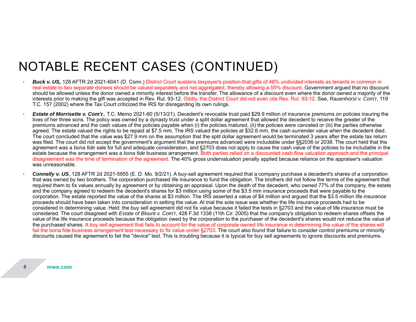#### NOTABLE RECENT CASES (CONTINUED)

- •**Buck v. US,** 128 AFTR 2d 2021-6041 (D. Conn.) District Court sustains taxpayer's position that gifts of 48% undivided interests as tenants in common in real estate to two separate donees should be valued separately and not aggregated, thereby allowing a 55% discount. Government argued that no discount should be allowed unless the donor owned a minority interest before the transfer. The allowance of a discount even where the donor owned a majority of the interests prior to making the gift was accepted in Rev. Rul. 93-12. Oddly, the District Court did not even cite Rev. Rul. 93-12. See, *Rauenhorst v. Com'r*, 119 T.C. 157 (2002) where the Tax Court criticized the IRS for disregarding its own rulings.
- • *Estate of Morrisette v. Com'r.*, T.C. Memo 2021-60 (5/13/21). Decedent's revocable trust paid \$29.9 million of insurance premiums on policies insuring the lives of her three sons. The policy was owned by a dynasty trust under a split dollar agreement that allowed the decedent to receive the greater of the premiums advanced and the cash values of the policies payable when (i) the policies matured, (ii) the policies were canceled or (iii) the parties otherwise agreed. The estate valued the rights to be repaid at \$7.5 mm. The IRS valued the policies at \$32.6 mm, the cash surrender value when the decedent died. The court concluded that the value was \$27.9 mm on the assumption that the split dollar agreement would be terminated 3 years after the estate tax return was filed. The court did not accept the government's argument that the premiums advanced were includable under §§2036 or 2038. The court held that the agreement was a *bona fide* sale for full and adequate consideration, and §2703 does not apply to cause the cash value of the policies to be includable in the estate because the arrangement was a *bona fide* business arrangement. Both parties relied on a discounted cash flow valuation approach and the principal disagreement was the time of termination of the agreement. The 40% gross undervaluation penalty applied because reliance on the appraiser's valuation was unreasonable.
- • *Connelly v. US*, 128 AFTR 2d 2021-5955 (E. D. Mo. 9/2/21). A buy-sell agreement required that a company purchase a decedent's shares of a corporation that was owned by two brothers. The corporation purchased life insurance to fund the obligation. The brothers did not follow the terms of the agreement that required them to fix values annually by agreement or by obtaining an appraisal. Upon the death of the decedent, who owned 77% of the company, the estate and the company agreed to redeem the decedent's shares for \$3 million using some of the \$3.5 mm insurance proceeds that were payable to the corporation. The estate reported the value of the shares at \$3 million. The IRS asserted a value of \$4 million and argued that the \$3.5 million life insurance proceeds should have been taken into consideration in setting the value. At trial the sole issue was whether the life insurance proceeds had to be considered in determining value. Held: the buy sell agreement did not fix value because it failed the tests in §2703 and the value of life insurance must be considered. The court disagreed with *Estate of Blount v. Com'r*, 428 F.3d 1338 (11th Cir. 2005) that the company's obligation to redeem shares offsets the value of the life insurance proceeds because the obligation owed by the corporation to the purchaser of the decedent's shares would not reduce the value of the purchased shares. A buy sell agreement that fails to account for the value of corporate owned life insurance in determining the value of the shares will fail the bona fide business arrangement test necessary to fix value under §2703. The court also found that failure to consider control premiums or minority discounts caused the agreement to fail the "device" test. This is troubling because it is typical for buy sell agreements to ignore discounts and premiums.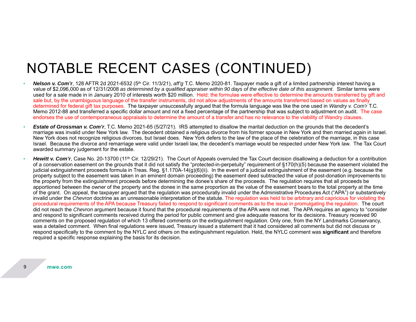# NOTABLE RECENT CASES (CONTINUED)

- *Nelson v. Com'r*, 128 AFTR 2d 2021-6532 (5th Cir. 11/3/21), *aff'g* T.C. Memo 2020-81. Taxpayer made a gift of a limited partnership interest having a value of \$2,096,000 as of 12/31/2008 *as determined by a qualified appraiser within 90 days of the effective date of this assignment*. Similar terms were used for a sale made in in January 2010 of interests worth \$20 million. Held: the formulae were effective to determine the amounts transferred by gift and sale but, by the unambiguous language of the transfer instruments, did not allow adjustments of the amounts transferred based on values as finally determined for federal gift tax purposes. The taxpayer unsuccessfully argued that the formula language was like the one used in *Wandry v. Com'r* T.C. Memo 2012-88 and transferred a specific dollar amount and not a fixed percentage of the partnership that was subject to adjustment on audit. The case endorses the use of contemporaneous appraisals to determine the amount of a transfer and has no relevance to the viability of Wandry clauses.
- • *Estate of Grossman v. Com'r*, T.C. Memo 2021-65 (5/27/21). IRS attempted to disallow the marital deduction on the grounds that the decedent's marriage was invalid under New York law. The decedent obtained a religious divorce from his former spouse in New York and then married again in Israel. New York does not recognize religious divorces, but Israel does. New York defers to the law of the place of the celebration of the marriage, in this case Israel. Because the divorce and remarriage were valid under Israeli law, the decedent's marriage would be respected under New York law. The Tax Court awarded summary judgement for the estate.
- •*Hewitt v. Com'r*, Case No. 20-13700 (11<sup>th</sup> Cir. 12/29/21). The Court of Appeals overruled the Tax Court decision disallowing a deduction for a contribution of a conservation easement on the grounds that it did not satisfy the "protected-in-perpetuity" requirement of §170(h)(5) because the easement violated the judicial extinguishment proceeds formula in Treas. Reg. §1.170A-14(g)(6)(ii). In the event of a judicial extinguishment of the easement (e.g. because the property subject to the easement was taken in an eminent domain proceeding) the easement deed subtracted the value of post-donation improvements to the property from the extinguishment proceeds before determining the donee's share of the proceeds. The regulation requires that all proceeds be apportioned between the owner of the property and the donee in the same proportion as the value of the easement bears to the total property at the time of the grant. On appeal, the taxpayer argued that the regulation was procedurally invalid under the Administrative Procedures Act ("APA") or substantively invalid under the *Chevron* doctrine as an unreasonable interpretation of the statute. The regulation was held to be arbitrary and capricious for violating the procedural requirements of the APA because Treasury failed to respond to significant comments as to the issue in promulgating the regulation. The court did not reach the *Chevron* argument because it found that the procedural requirements of the APA were not met. The APA requires an agency to "consider and respond to significant comments received during the period for public comment and give adequate reasons for its decisions. Treasury received 90 comments on the proposed regulation of which 13 offered comments on the extinguishment regulation. Only one, from the NY Landmarks Conservancy, was a detailed comment. When final regulations were issued, Treasury issued a statement that it had considered all comments but did not discuss or respond specifically to the comment by the NYLC and others on the extinguishment regulation. Held, the NYLC comment was **significant** and therefore required a specific response explaining the basis for its decision.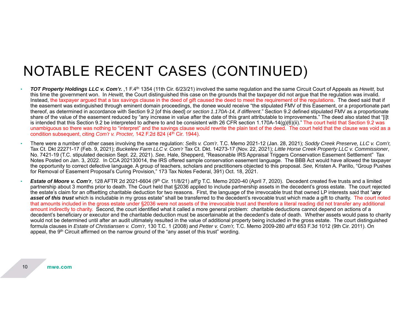### NOTABLE RECENT CASES (CONTINUED)

- • *TOT Property Holdings LLC v. Com'r.* ,1 F.4th 1354 (11th Cir. 6/23/21) involved the same regulation and the same Circuit Court of Appeals as *Hewitt*, but this time the government won. In *Hewitt,* the Court distinguished this case on the grounds that the taxpayer did not argue that the regulation was invalid. Instead, the taxpayer argued that a tax savings clause in the deed of gift caused the deed to meet the requirement of the regulations. The deed said that if the easement was extinguished through eminent domain proceedings, the donee would receive "the stipulated FMV of this Easement, or a proportionate part thereof, as determined in accordance with Section 9.2 [of this deed] *or section 1.170A-14, if different*." Section 9.2 defined stipulated FMV as a proportionate share of the value of the easement reduced by "any increase in value after the date of this grant attributable to improvements." The deed also stated that "[i]t is intended that this Section 9.2 be interpreted to adhere to and be consistent with 26 CFR section 1.170A-14(g)(6)(ii)." The court held that Section 9.2 was unambiguous so there was nothing to "interpret" and the savings clause would rewrite the plain text of the deed. The court held that the clause was void as a condition subsequent, citing *Com'r v. Procter*, 142 F.2d 824 (4<sup>th</sup> Cir. 1944).
- There were a number of other cases involving the same regulation: *Sells v. Com'r*. T.C. Memo 2021-12 (Jan. 28, 2021); *Soddy Creek Preserve, LLC v. Com'r,*  Tax Ct. Dkt 22271-17 (Feb. 9, 2021); *Buckelew Farm LLC v. Com'r* Tax Ct. Dkt. 14273-17 (Nov. 22, 2021); *Little Horse Creek Property LLC v. Commissioner*, No. 7421-19 (T.C. stipulated decision Sept. 22, 2021). *See,* Hale, Shepperd, "Reasonable IRS Appraisal Triggers Conservation Easement Settlement" Tax Notes Posted on Jan. 3, 2022. In CCA 202130014, the IRS offered sample conservation easement language. The BBB Act would have allowed the taxpayer the opportunity to correct defective language. A group of teachers, scholars and practitioners objected to this proposal. *See,* Kristen A. Parillo, "Group Pushes for Removal of Easement Proposal's Curing Provision," 173 Tax Notes Federal, 391) Oct. 18, 2021.
- *Estate of Moore v. Com'r*, 128 AFTR 2d 2021-6604 (9th Cir. 11/8/21) *aff'g* T.C. Memo 2020-40 (April 7, 2020). Decedent created five trusts and a limited partnership about 3 months prior to death. The Court held that §2036 applied to include partnership assets in the decedent's gross estate. The court rejected the estate's claim for an offsetting charitable deduction for two reasons. First, the language of the irrevocable trust that owned LP interests said that "*any*  **asset of this trust** which is includable in my gross estate" shall be transferred to the decedent's revocable trust which made a gift to charity. The court noted that amounts included in the gross estate under §2036 were not assets of the irrevocable trust and therefore a literal reading did not transfer any additional amount indirectly to charity. Second, the court identified what it called a more general problem: charitable deductions cannot depend on actions of a decedent's beneficiary or executor and the charitable deduction must be ascertainable at the decedent's date of death. Whether assets would pass to charity would not be determined until after an audit ultimately resulted in the value of additional property being included in the gross estate. The court distinguished formula clauses in *Estate of Christiansen v. Com'r*, 130 T.C. 1 (2008) and *Petter v. Com'r,* T.C. Memo 2009-280 *aff'd* 653 F.3d 1012 (9th Cir. 2011). On appeal, the  $9<sup>th</sup>$  Circuit affirmed on the narrow ground of the "any asset of this trust" wording.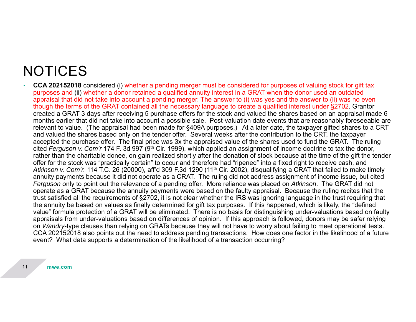### **NOTICES**

• **CCA 202152018** considered (i) whether a pending merger must be considered for purposes of valuing stock for gift tax purposes and (ii) whether a donor retained a qualified annuity interest in a GRAT when the donor used an outdated appraisal that did not take into account a pending merger. The answer to (i) was yes and the answer to (ii) was no even though the terms of the GRAT contained all the necessary language to create a qualified interest under §2702. Grantor created a GRAT 3 days after receiving 5 purchase offers for the stock and valued the shares based on an appraisal made 6 months earlier that did not take into account a possible sale. Post-valuation date events that are reasonably foreseeable are relevant to value. (The appraisal had been made for §409A purposes.) At a later date, the taxpayer gifted shares to a CRT and valued the shares based only on the tender offer. Several weeks after the contribution to the CRT, the taxpayer accepted the purchase offer. The final price was 3x the appraised value of the shares used to fund the GRAT. The ruling cited *Ferguson v. Com'r* 174 F. 3d 997 (9th Cir. 1999), which applied an assignment of income doctrine to tax the donor, rather than the charitable donee, on gain realized shortly after the donation of stock because at the time of the gift the tender offer for the stock was "practically certain" to occur and therefore had "ripened" into a fixed right to receive cash, and Atkinson v. Com'r. 114 T.C. 26 (20000), aff'd 309 F.3d 1290 (11<sup>th</sup> Cir. 2002), disqualifying a CRAT that failed to make timely annuity payments because it did not operate as a CRAT. The ruling did not address assignment of income issue, but cited *Ferguson* only to point out the relevance of a pending offer. More reliance was placed on *Atkinson*. The GRAT did not operate as a GRAT because the annuity payments were based on the faulty appraisal. Because the ruling recites that the trust satisfied all the requirements of §2702, it is not clear whether the IRS was ignoring language in the trust requiring that the annuity be based on values as finally determined for gift tax purposes. If this happened, which is likely, the "defined value" formula protection of a GRAT will be eliminated. There is no basis for distinguishing under-valuations based on faulty appraisals from under-valuations based on differences of opinion. If this approach is followed, donors may be safer relying on *Wandry*-type clauses than relying on GRATs because they will not have to worry about failing to meet operational tests. CCA 202152018 also points out the need to address pending transactions. How does one factor in the likelihood of a future event? What data supports a determination of the likelihood of a transaction occurring?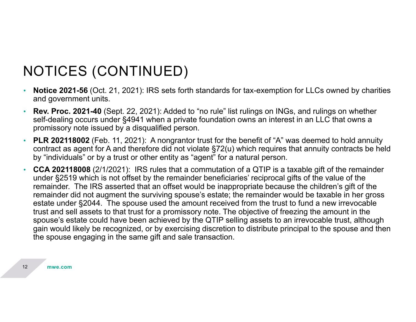# NOTICES (CONTINUED)

- • **Notice 2021-56** (Oct. 21, 2021): IRS sets forth standards for tax-exemption for LLCs owned by charities and government units.
- • **Rev. Proc. 2021-40** (Sept. 22, 2021): Added to "no rule" list rulings on INGs, and rulings on whether self-dealing occurs under §4941 when a private foundation owns an interest in an LLC that owns a promissory note issued by a disqualified person.
- • **PLR 202118002** (Feb. 11, 2021): A nongrantor trust for the benefit of "A" was deemed to hold annuity contract as agent for A and therefore did not violate §72(u) which requires that annuity contracts be held by "individuals" or by a trust or other entity as "agent" for a natural person.
- • **CCA 202118008** (2/1/2021): IRS rules that a commutation of a QTIP is a taxable gift of the remainder under §2519 which is not offset by the remainder beneficiaries' reciprocal gifts of the value of the remainder. The IRS asserted that an offset would be inappropriate because the children's gift of the remainder did not augment the surviving spouse's estate; the remainder would be taxable in her gross estate under §2044. The spouse used the amount received from the trust to fund a new irrevocable trust and sell assets to that trust for a promissory note. The objective of freezing the amount in the spouse's estate could have been achieved by the QTIP selling assets to an irrevocable trust, although gain would likely be recognized, or by exercising discretion to distribute principal to the spouse and then the spouse engaging in the same gift and sale transaction.